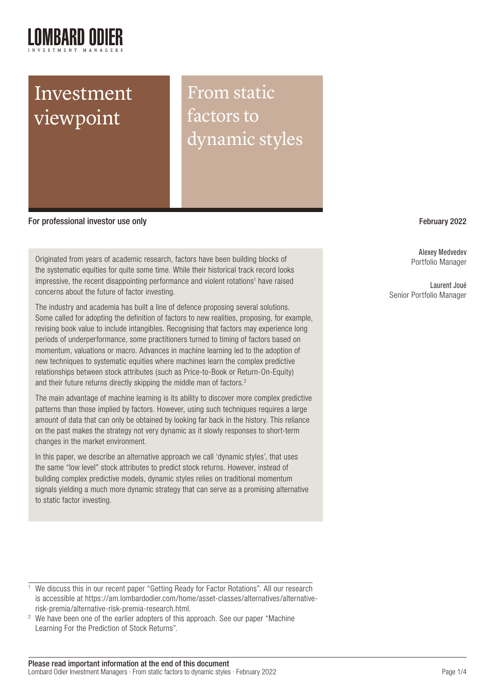# Investment viewpoint

From static factors to dynamic styles

For professional investor use only February 2022

Originated from years of academic research, factors have been building blocks of the systematic equities for quite some time. While their historical track record looks impressive, the recent disappointing performance and violent rotations<sup>1</sup> have raised concerns about the future of factor investing.

The industry and academia has built a line of defence proposing several solutions. Some called for adopting the definition of factors to new realities, proposing, for example, revising book value to include intangibles. Recognising that factors may experience long periods of underperformance, some practitioners turned to timing of factors based on momentum, valuations or macro. Advances in machine learning led to the adoption of new techniques to systematic equities where machines learn the complex predictive relationships between stock attributes (such as Price-to-Book or Return-On-Equity) and their future returns directly skipping the middle man of factors.<sup>2</sup>

The main advantage of machine learning is its ability to discover more complex predictive patterns than those implied by factors. However, using such techniques requires a large amount of data that can only be obtained by looking far back in the history. This reliance on the past makes the strategy not very dynamic as it slowly responses to short-term changes in the market environment.

In this paper, we describe an alternative approach we call 'dynamic styles', that uses the same "low level" stock attributes to predict stock returns. However, instead of building complex predictive models, dynamic styles relies on traditional momentum signals yielding a much more dynamic strategy that can serve as a promising alternative to static factor investing.

Alexey Medvedev Portfolio Manager

Laurent Joué Senior Portfolio Manager

<sup>&</sup>lt;sup>1</sup> We discuss this in our recent paper "Getting Ready for Factor Rotations". All our research is accessible at https://am.lombardodier.com/home/asset-classes/alternatives/alternativerisk-premia/alternative-risk-premia-research.html.

<sup>&</sup>lt;sup>2</sup> We have been one of the earlier adopters of this approach. See our paper "Machine" Learning For the Prediction of Stock Returns".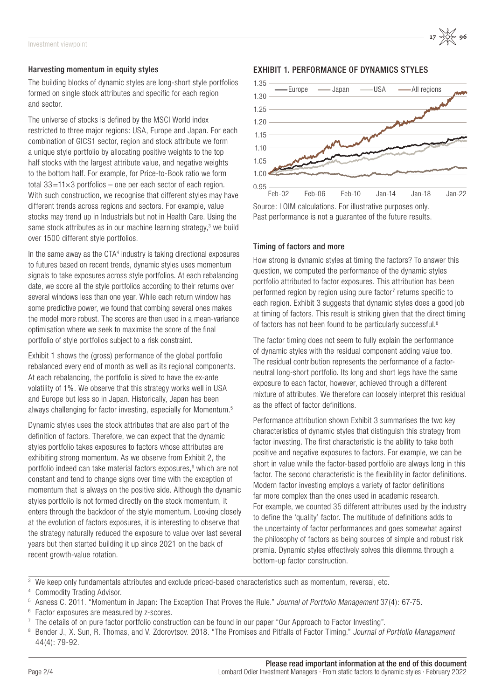#### Harvesting momentum in equity styles

The building blocks of dynamic styles are long-short style portfolios formed on single stock attributes and specific for each region and sector.

The universe of stocks is defined by the MSCI World index restricted to three major regions: USA, Europe and Japan. For each combination of GICS1 sector, region and stock attribute we form a unique style portfolio by allocating positive weights to the top half stocks with the largest attribute value, and negative weights to the bottom half. For example, for Price-to-Book ratio we form total  $33=11\times3$  portfolios – one per each sector of each region. With such construction, we recognise that different styles may have different trends across regions and sectors. For example, value stocks may trend up in Industrials but not in Health Care. Using the same stock attributes as in our machine learning strategy, $3$  we build over 1500 different style portfolios.

In the same away as the CTA<sup>4</sup> industry is taking directional exposures to futures based on recent trends, dynamic styles uses momentum signals to take exposures across style portfolios. At each rebalancing date, we score all the style portfolios according to their returns over several windows less than one year. While each return window has some predictive power, we found that combing several ones makes the model more robust. The scores are then used in a mean-variance optimisation where we seek to maximise the score of the final portfolio of style portfolios subject to a risk constraint.

Exhibit 1 shows the (gross) performance of the global portfolio rebalanced every end of month as well as its regional components. At each rebalancing, the portfolio is sized to have the ex-ante volatility of 1%. We observe that this strategy works well in USA and Europe but less so in Japan. Historically, Japan has been always challenging for factor investing, especially for Momentum.5

Dynamic styles uses the stock attributes that are also part of the definition of factors. Therefore, we can expect that the dynamic styles portfolio takes exposures to factors whose attributes are exhibiting strong momentum. As we observe from Exhibit 2, the portfolio indeed can take material factors exposures,<sup>6</sup> which are not constant and tend to change signs over time with the exception of momentum that is always on the positive side. Although the dynamic styles portfolio is not formed directly on the stock momentum, it enters through the backdoor of the style momentum. Looking closely at the evolution of factors exposures, it is interesting to observe that the strategy naturally reduced the exposure to value over last several years but then started building it up since 2021 on the back of recent growth-value rotation.

### EXHIBIT 1. PERFORMANCE OF DYNAMICS STYLES



Source: LOIM calculations. For illustrative purposes only. Past performance is not a guarantee of the future results.

#### Timing of factors and more

How strong is dynamic styles at timing the factors? To answer this question, we computed the performance of the dynamic styles portfolio attributed to factor exposures. This attribution has been performed region by region using pure factor $<sup>7</sup>$  returns specific to</sup> each region. Exhibit 3 suggests that dynamic styles does a good job at timing of factors. This result is striking given that the direct timing of factors has not been found to be particularly successful.<sup>8</sup>

The factor timing does not seem to fully explain the performance of dynamic styles with the residual component adding value too. The residual contribution represents the performance of a factorneutral long-short portfolio. Its long and short legs have the same exposure to each factor, however, achieved through a different mixture of attributes. We therefore can loosely interpret this residual as the effect of factor definitions.

Performance attribution shown Exhibit 3 summarises the two key characteristics of dynamic styles that distinguish this strategy from factor investing. The first characteristic is the ability to take both positive and negative exposures to factors. For example, we can be short in value while the factor-based portfolio are always long in this factor. The second characteristic is the flexibility in factor definitions. Modern factor investing employs a variety of factor definitions far more complex than the ones used in academic research. For example, we counted 35 different attributes used by the industry to define the 'quality' factor. The multitude of definitions adds to the uncertainty of factor performances and goes somewhat against the philosophy of factors as being sources of simple and robust risk premia. Dynamic styles effectively solves this dilemma through a bottom-up factor construction.

<sup>&</sup>lt;sup>3</sup> We keep only fundamentals attributes and exclude priced-based characteristics such as momentum, reversal, etc.

<sup>4</sup> Commodity Trading Advisor.

<sup>5</sup> Asness C. 2011. "Momentum in Japan: The Exception That Proves the Rule." Journal of Portfolio Management 37(4): 67-75.

<sup>6</sup> Factor exposures are measured by z-scores.

 $7$  The details of on pure factor portfolio construction can be found in our paper "Our Approach to Factor Investing".

Bender J., X. Sun, R. Thomas, and V. Zdorovtsov. 2018. "The Promises and Pitfalls of Factor Timing." Journal of Portfolio Management 44(4): 79-92.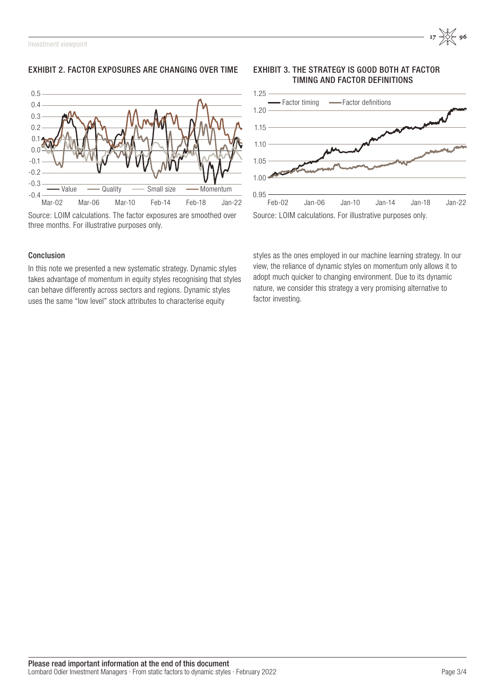# EXHIBIT 2. FACTOR EXPOSURES ARE CHANGING OVER TIME



Source: LOIM calculations. The factor exposures are smoothed over three months. For illustrative purposes only.

## Conclusion

In this note we presented a new systematic strategy. Dynamic styles takes advantage of momentum in equity styles recognising that styles can behave differently across sectors and regions. Dynamic styles uses the same "low level" stock attributes to characterise equity

EXHIBIT 3. THE STRATEGY IS GOOD BOTH AT FACTOR TIMING AND FACTOR DEFINITIONS



styles as the ones employed in our machine learning strategy. In our view, the reliance of dynamic styles on momentum only allows it to adopt much quicker to changing environment. Due to its dynamic nature, we consider this strategy a very promising alternative to factor investing.